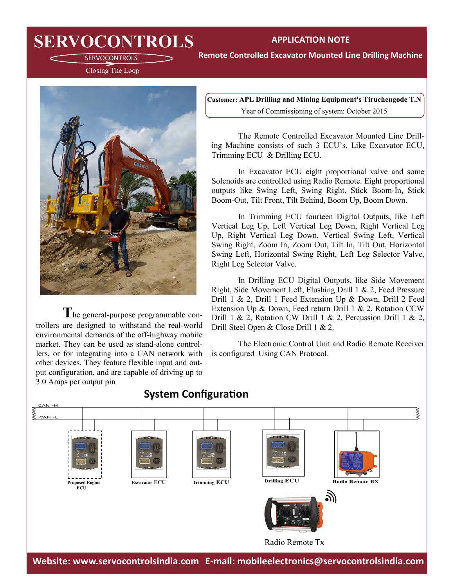## **SERVOCONTROLS** APPLICATION NOTE

**Remote Controlled Excavator Mounted Line Drilling Machine**

SERVOCONTROLS Closing The Loop



**T**he general-purpose programmable controllers are designed to withstand the real-world environmental demands of the off-highway mobile market. They can be used as stand-alone controllers, or for integrating into a CAN network with other devices. They feature flexible input and output configuration, and are capable of driving up to 3.0 Amps per output pin

**Customer: APL Drilling and Mining Equipment's Tiruchengode T.N** Year of Commissioning of system: October 2015

The Remote Controlled Excavator Mounted Line Drilling Machine consists of such 3 ECU's. Like Excavator ECU, Trimming ECU & Drilling ECU.

In Excavator ECU eight proportional valve and some Solenoids are controlled using Radio Remote. Eight proportional outputs like Swing Left, Swing Right, Stick Boom-In, Stick Boom-Out, Tilt Front, Tilt Behind, Boom Up, Boom Down.

In Trimming ECU fourteen Digital Outputs, like Left Vertical Leg Up, Left Vertical Leg Down, Right Vertical Leg Up, Right Vertical Leg Down, Vertical Swing Left, Vertical Swing Right, Zoom In, Zoom Out, Tilt In, Tilt Out, Horizontal Swing Left, Horizontal Swing Right, Left Leg Selector Valve, Right Leg Selector Valve.

In Drilling ECU Digital Outputs, like Side Movement Right, Side Movement Left, Flushing Drill 1 & 2, Feed Pressure Drill 1 & 2, Drill 1 Feed Extension Up & Down, Drill 2 Feed Extension Up & Down, Feed return Drill 1 & 2, Rotation CCW Drill 1 & 2, Rotation CW Drill 1 & 2, Percussion Drill 1 & 2, Drill Steel Open & Close Drill 1 & 2.

The Electronic Control Unit and Radio Remote Receiver is configured Using CAN Protocol.



**Website: www.servocontrolsindia.com E-mail: mobileelectronics@servocontrolsindia.com**